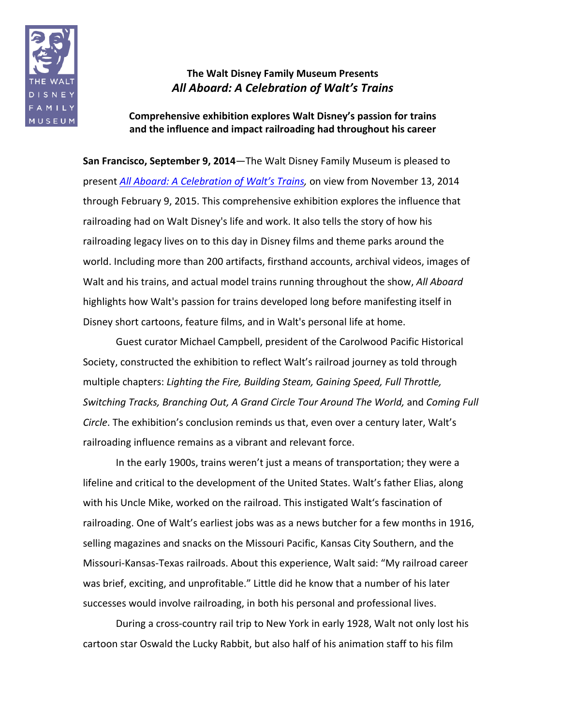

## **The Walt Disney Family Museum Presents** All Aboard: A Celebration of Walt's Trains

Comprehensive exhibition explores Walt Disney's passion for trains and the influence and impact railroading had throughout his career

**San Francisco, September 9, 2014**—The Walt Disney Family Museum is pleased to present *All Aboard: A Celebration of Walt's Trains,* on view from November 13, 2014 through February 9, 2015. This comprehensive exhibition explores the influence that railroading had on Walt Disney's life and work. It also tells the story of how his railroading legacy lives on to this day in Disney films and theme parks around the world. Including more than 200 artifacts, firsthand accounts, archival videos, images of Walt and his trains, and actual model trains running throughout the show, *All Aboard* highlights how Walt's passion for trains developed long before manifesting itself in Disney short cartoons, feature films, and in Walt's personal life at home.

Guest curator Michael Campbell, president of the Carolwood Pacific Historical Society, constructed the exhibition to reflect Walt's railroad journey as told through multiple chapters: Lighting the Fire, Building Steam, Gaining Speed, Full Throttle, *Switching Tracks, Branching Out, A Grand Circle Tour Around The World, and Coming Full Circle*. The exhibition's conclusion reminds us that, even over a century later, Walt's railroading influence remains as a vibrant and relevant force.

In the early 1900s, trains weren't just a means of transportation; they were a lifeline and critical to the development of the United States. Walt's father Elias, along with his Uncle Mike, worked on the railroad. This instigated Walt's fascination of railroading. One of Walt's earliest jobs was as a news butcher for a few months in 1916, selling magazines and snacks on the Missouri Pacific, Kansas City Southern, and the Missouri-Kansas-Texas railroads. About this experience, Walt said: "My railroad career was brief, exciting, and unprofitable." Little did he know that a number of his later successes would involve railroading, in both his personal and professional lives.

During a cross-country rail trip to New York in early 1928, Walt not only lost his cartoon star Oswald the Lucky Rabbit, but also half of his animation staff to his film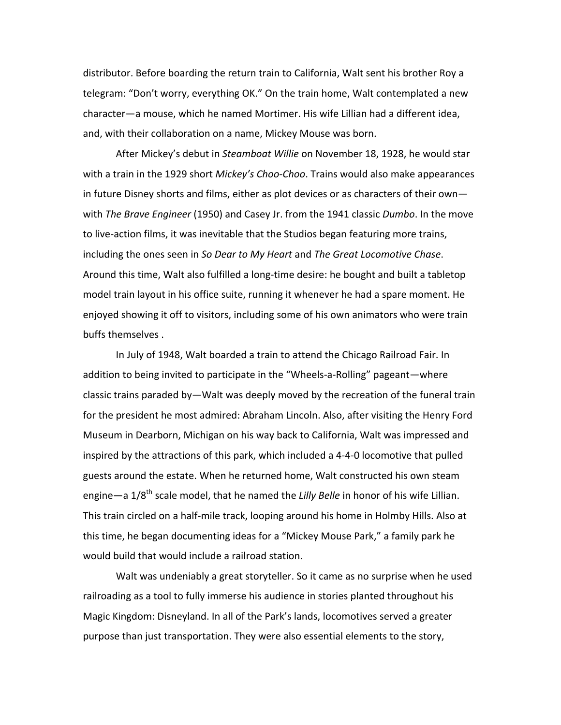distributor. Before boarding the return train to California, Walt sent his brother Roy a telegram: "Don't worry, everything OK." On the train home, Walt contemplated a new character—a mouse, which he named Mortimer. His wife Lillian had a different idea, and, with their collaboration on a name, Mickey Mouse was born.

After Mickey's debut in *Steamboat Willie* on November 18, 1928, he would star with a train in the 1929 short *Mickey's Choo-Choo*. Trains would also make appearances in future Disney shorts and films, either as plot devices or as characters of their own with *The Brave Engineer* (1950) and Casey Jr. from the 1941 classic *Dumbo*. In the move to live-action films, it was inevitable that the Studios began featuring more trains, including the ones seen in So Dear to My Heart and The Great Locomotive Chase. Around this time, Walt also fulfilled a long-time desire: he bought and built a tabletop model train layout in his office suite, running it whenever he had a spare moment. He enjoyed showing it off to visitors, including some of his own animators who were train buffs themselves .

In July of 1948, Walt boarded a train to attend the Chicago Railroad Fair. In addition to being invited to participate in the "Wheels-a-Rolling" pageant—where classic trains paraded by—Walt was deeply moved by the recreation of the funeral train for the president he most admired: Abraham Lincoln. Also, after visiting the Henry Ford Museum in Dearborn, Michigan on his way back to California, Walt was impressed and inspired by the attractions of this park, which included a 4-4-0 locomotive that pulled guests around the estate. When he returned home, Walt constructed his own steam engine—a 1/8<sup>th</sup> scale model, that he named the *Lilly Belle* in honor of his wife Lillian. This train circled on a half-mile track, looping around his home in Holmby Hills. Also at this time, he began documenting ideas for a "Mickey Mouse Park," a family park he would build that would include a railroad station.

Walt was undeniably a great storyteller. So it came as no surprise when he used railroading as a tool to fully immerse his audience in stories planted throughout his Magic Kingdom: Disneyland. In all of the Park's lands, locomotives served a greater purpose than just transportation. They were also essential elements to the story,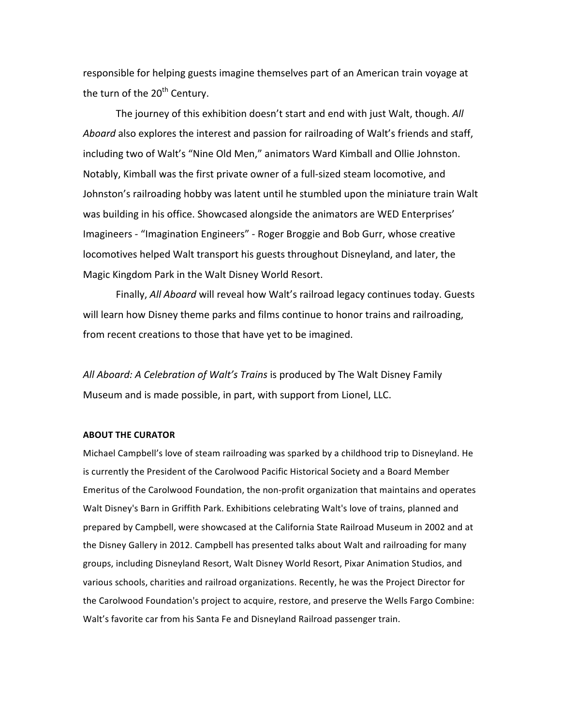responsible for helping guests imagine themselves part of an American train voyage at the turn of the  $20<sup>th</sup>$  Century.

The journey of this exhibition doesn't start and end with just Walt, though. All Aboard also explores the interest and passion for railroading of Walt's friends and staff, including two of Walt's "Nine Old Men," animators Ward Kimball and Ollie Johnston. Notably, Kimball was the first private owner of a full-sized steam locomotive, and Johnston's railroading hobby was latent until he stumbled upon the miniature train Walt was building in his office. Showcased alongside the animators are WED Enterprises' Imagineers - "Imagination Engineers" - Roger Broggie and Bob Gurr, whose creative locomotives helped Walt transport his guests throughout Disneyland, and later, the Magic Kingdom Park in the Walt Disney World Resort.

Finally, *All Aboard* will reveal how Walt's railroad legacy continues today. Guests will learn how Disney theme parks and films continue to honor trains and railroading, from recent creations to those that have yet to be imagined.

All Aboard: A Celebration of Walt's Trains is produced by The Walt Disney Family Museum and is made possible, in part, with support from Lionel, LLC.

## **ABOUT THE CURATOR**

Michael Campbell's love of steam railroading was sparked by a childhood trip to Disneyland. He is currently the President of the Carolwood Pacific Historical Society and a Board Member Emeritus of the Carolwood Foundation, the non-profit organization that maintains and operates Walt Disney's Barn in Griffith Park. Exhibitions celebrating Walt's love of trains, planned and prepared by Campbell, were showcased at the California State Railroad Museum in 2002 and at the Disney Gallery in 2012. Campbell has presented talks about Walt and railroading for many groups, including Disneyland Resort, Walt Disney World Resort, Pixar Animation Studios, and various schools, charities and railroad organizations. Recently, he was the Project Director for the Carolwood Foundation's project to acquire, restore, and preserve the Wells Fargo Combine: Walt's favorite car from his Santa Fe and Disneyland Railroad passenger train.